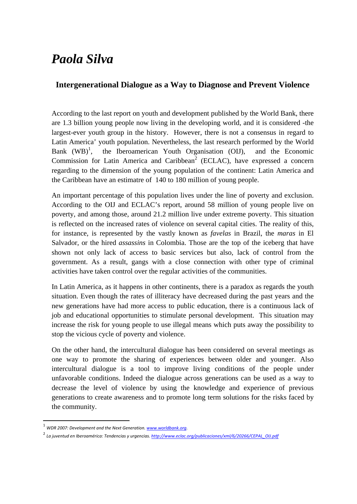## *Paola Silva*

## **Intergenerational Dialogue as a Way to Diagnose and Prevent Violence**

According to the last report on youth and development published by the World Bank, there are 1.3 billion young people now living in the developing world, and it is considered -the largest-ever youth group in the history. However, there is not a consensus in regard to Latin America' youth population. Nevertheless, the last research performed by the World Bank  $(WB)^1$ , the Iberoamerican Youth Organisation (OIJ), and the Economic Commission for Latin America and Caribbean<sup>2</sup> (ECLAC), have expressed a concern regarding to the dimension of the young population of the continent: Latin America and the Caribbean have an estimatre of 140 to 180 million of young people.

An important percentage of this population lives under the line of poverty and exclusion. According to the OIJ and ECLAC's report, around 58 million of young people live on poverty, and among those, around 21.2 million live under extreme poverty. This situation is reflected on the increased rates of violence on several capital cities. The reality of this, for instance, is represented by the vastly known as *favelas* in Brazil, the *maras* in El Salvador, or the hired *assassins* in Colombia. Those are the top of the iceberg that have shown not only lack of access to basic services but also, lack of control from the government. As a result, gangs with a close connection with other type of criminal activities have taken control over the regular activities of the communities.

In Latin America, as it happens in other continents, there is a paradox as regards the youth situation. Even though the rates of illiteracy have decreased during the past years and the new generations have had more access to public education, there is a continuous lack of job and educational opportunities to stimulate personal development. This situation may increase the risk for young people to use illegal means which puts away the possibility to stop the vicious cycle of poverty and violence.

On the other hand, the intercultural dialogue has been considered on several meetings as one way to promote the sharing of experiences between older and younger. Also intercultural dialogue is a tool to improve living conditions of the people under unfavorable conditions. Indeed the dialogue across generations can be used as a way to decrease the level of violence by using the knowledge and experience of previous generations to create awareness and to promote long term solutions for the risks faced by the community.

<sup>1</sup> *WDR 2007: Development and the Next Generation. www.worldbank.org.*

<sup>2</sup> *La juventud en Iberoamérica: Tendencias <sup>y</sup> urgencias. http://www.eclac.org/publicaciones/xml/6/20266/CEPAL\_OIJ.pdf*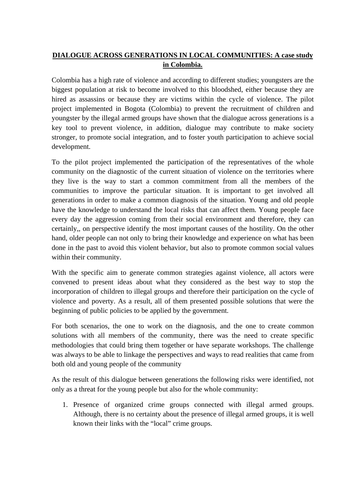## **DIALOGUE ACROSS GENERATIONS IN LOCAL COMMUNITIES: A case study in Colombia.**

Colombia has a high rate of violence and according to different studies; youngsters are the biggest population at risk to become involved to this bloodshed, either because they are hired as assassins or because they are victims within the cycle of violence. The pilot project implemented in Bogota (Colombia) to prevent the recruitment of children and youngster by the illegal armed groups have shown that the dialogue across generations is a key tool to prevent violence, in addition, dialogue may contribute to make society stronger, to promote social integration, and to foster youth participation to achieve social development.

To the pilot project implemented the participation of the representatives of the whole community on the diagnostic of the current situation of violence on the territories where they live is the way to start a common commitment from all the members of the communities to improve the particular situation. It is important to get involved all generations in order to make a common diagnosis of the situation. Young and old people have the knowledge to understand the local risks that can affect them. Young people face every day the aggression coming from their social environment and therefore, they can certainly,, on perspective identify the most important causes of the hostility. On the other hand, older people can not only to bring their knowledge and experience on what has been done in the past to avoid this violent behavior, but also to promote common social values within their community.

With the specific aim to generate common strategies against violence, all actors were convened to present ideas about what they considered as the best way to stop the incorporation of children to illegal groups and therefore their participation on the cycle of violence and poverty. As a result, all of them presented possible solutions that were the beginning of public policies to be applied by the government.

For both scenarios, the one to work on the diagnosis, and the one to create common solutions with all members of the community, there was the need to create specific methodologies that could bring them together or have separate workshops. The challenge was always to be able to linkage the perspectives and ways to read realities that came from both old and young people of the community

As the result of this dialogue between generations the following risks were identified, not only as a threat for the young people but also for the whole community:

1. Presence of organized crime groups connected with illegal armed groups. Although, there is no certainty about the presence of illegal armed groups, it is well known their links with the "local" crime groups.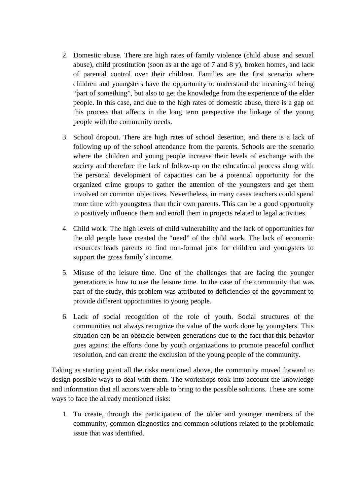- 2. Domestic abuse. There are high rates of family violence (child abuse and sexual abuse), child prostitution (soon as at the age of 7 and 8 y), broken homes, and lack of parental control over their children. Families are the first scenario where children and youngsters have the opportunity to understand the meaning of being "part of something", but also to get the knowledge from the experience of the elder people. In this case, and due to the high rates of domestic abuse, there is a gap on this process that affects in the long term perspective the linkage of the young people with the community needs.
- 3. School dropout. There are high rates of school desertion, and there is a lack of following up of the school attendance from the parents. Schools are the scenario where the children and young people increase their levels of exchange with the society and therefore the lack of follow-up on the educational process along with the personal development of capacities can be a potential opportunity for the organized crime groups to gather the attention of the youngsters and get them involved on common objectives. Nevertheless, in many cases teachers could spend more time with youngsters than their own parents. This can be a good opportunity to positively influence them and enroll them in projects related to legal activities.
- 4. Child work. The high levels of child vulnerability and the lack of opportunities for the old people have created the "need" of the child work. The lack of economic resources leads parents to find non-formal jobs for children and youngsters to support the gross family´s income.
- 5. Misuse of the leisure time. One of the challenges that are facing the younger generations is how to use the leisure time. In the case of the community that was part of the study, this problem was attributed to deficiencies of the government to provide different opportunities to young people.
- 6. Lack of social recognition of the role of youth. Social structures of the communities not always recognize the value of the work done by youngsters. This situation can be an obstacle between generations due to the fact that this behavior goes against the efforts done by youth organizations to promote peaceful conflict resolution, and can create the exclusion of the young people of the community.

Taking as starting point all the risks mentioned above, the community moved forward to design possible ways to deal with them. The workshops took into account the knowledge and information that all actors were able to bring to the possible solutions. These are some ways to face the already mentioned risks:

1. To create, through the participation of the older and younger members of the community, common diagnostics and common solutions related to the problematic issue that was identified.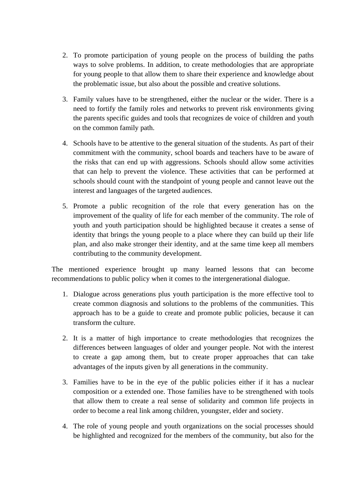- 2. To promote participation of young people on the process of building the paths ways to solve problems. In addition, to create methodologies that are appropriate for young people to that allow them to share their experience and knowledge about the problematic issue, but also about the possible and creative solutions.
- 3. Family values have to be strengthened, either the nuclear or the wider. There is a need to fortify the family roles and networks to prevent risk environments giving the parents specific guides and tools that recognizes de voice of children and youth on the common family path.
- 4. Schools have to be attentive to the general situation of the students. As part of their commitment with the community, school boards and teachers have to be aware of the risks that can end up with aggressions. Schools should allow some activities that can help to prevent the violence. These activities that can be performed at schools should count with the standpoint of young people and cannot leave out the interest and languages of the targeted audiences.
- 5. Promote a public recognition of the role that every generation has on the improvement of the quality of life for each member of the community. The role of youth and youth participation should be highlighted because it creates a sense of identity that brings the young people to a place where they can build up their life plan, and also make stronger their identity, and at the same time keep all members contributing to the community development.

The mentioned experience brought up many learned lessons that can become recommendations to public policy when it comes to the intergenerational dialogue.

- 1. Dialogue across generations plus youth participation is the more effective tool to create common diagnosis and solutions to the problems of the communities. This approach has to be a guide to create and promote public policies, because it can transform the culture.
- 2. It is a matter of high importance to create methodologies that recognizes the differences between languages of older and younger people. Not with the interest to create a gap among them, but to create proper approaches that can take advantages of the inputs given by all generations in the community.
- 3. Families have to be in the eye of the public policies either if it has a nuclear composition or a extended one. Those families have to be strengthened with tools that allow them to create a real sense of solidarity and common life projects in order to become a real link among children, youngster, elder and society.
- 4. The role of young people and youth organizations on the social processes should be highlighted and recognized for the members of the community, but also for the